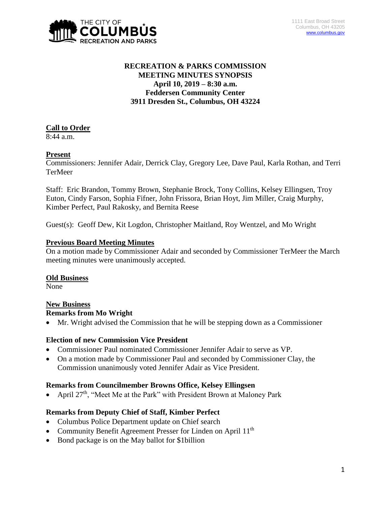

# **RECREATION & PARKS COMMISSION MEETING MINUTES SYNOPSIS April 10, 2019 – 8:30 a.m. Feddersen Community Center 3911 Dresden St., Columbus, OH 43224**

# **Call to Order**

8:44 a.m.

# **Present**

Commissioners: Jennifer Adair, Derrick Clay, Gregory Lee, Dave Paul, Karla Rothan, and Terri TerMeer

Staff: Eric Brandon, Tommy Brown, Stephanie Brock, Tony Collins, Kelsey Ellingsen, Troy Euton, Cindy Farson, Sophia Fifner, John Frissora, Brian Hoyt, Jim Miller, Craig Murphy, Kimber Perfect, Paul Rakosky, and Bernita Reese

Guest(s): Geoff Dew, Kit Logdon, Christopher Maitland, Roy Wentzel, and Mo Wright

## **Previous Board Meeting Minutes**

On a motion made by Commissioner Adair and seconded by Commissioner TerMeer the March meeting minutes were unanimously accepted.

#### **Old Business**

None

#### **New Business Remarks from Mo Wright**

Mr. Wright advised the Commission that he will be stepping down as a Commissioner

# **Election of new Commission Vice President**

- Commissioner Paul nominated Commissioner Jennifer Adair to serve as VP.
- On a motion made by Commissioner Paul and seconded by Commissioner Clay, the Commission unanimously voted Jennifer Adair as Vice President.

#### **Remarks from Councilmember Browns Office, Kelsey Ellingsen**

April 27<sup>th</sup>, "Meet Me at the Park" with President Brown at Maloney Park

# **Remarks from Deputy Chief of Staff, Kimber Perfect**

- Columbus Police Department update on Chief search
- Community Benefit Agreement Presser for Linden on April 11<sup>th</sup>
- Bond package is on the May ballot for \$1billion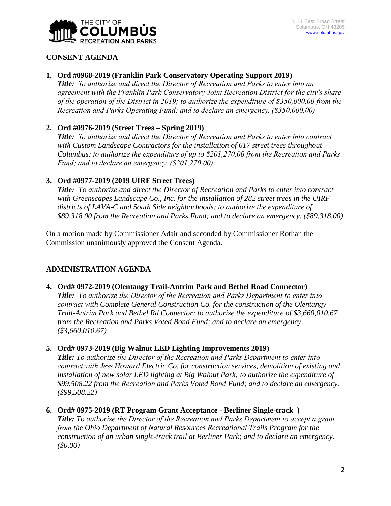

## **CONSENT AGENDA**

## **1. Ord #0968-2019 (Franklin Park Conservatory Operating Support 2019)**

*Title: To authorize and direct the Director of Recreation and Parks to enter into an agreement with the Franklin Park Conservatory Joint Recreation District for the city's share of the operation of the District in 2019; to authorize the expenditure of \$350,000.00 from the Recreation and Parks Operating Fund; and to declare an emergency. (\$350,000.00)*

# **2. Ord #0976-2019 (Street Trees – Spring 2019)**

*Title: To authorize and direct the Director of Recreation and Parks to enter into contract with Custom Landscape Contractors for the installation of 617 street trees throughout Columbus; to authorize the expenditure of up to \$201,270.00 from the Recreation and Parks Fund; and to declare an emergency. (\$201,270.00)*

## **3. Ord #0977-2019 (2019 UIRF Street Trees)**

*Title: To authorize and direct the Director of Recreation and Parks to enter into contract with Greenscapes Landscape Co., Inc. for the installation of 282 street trees in the UIRF districts of LAVA-C and South Side neighborhoods; to authorize the expenditure of \$89,318.00 from the Recreation and Parks Fund; and to declare an emergency. (\$89,318.00)*

On a motion made by Commissioner Adair and seconded by Commissioner Rothan the Commission unanimously approved the Consent Agenda.

# **ADMINISTRATION AGENDA**

#### **4. Ord# 0972-2019 (Olentangy Trail-Antrim Park and Bethel Road Connector)**

*Title: To authorize the Director of the Recreation and Parks Department to enter into contract with Complete General Construction Co. for the construction of the Olentangy Trail-Antrim Park and Bethel Rd Connector; to authorize the expenditure of \$3,660,010.67 from the Recreation and Parks Voted Bond Fund; and to declare an emergency. (\$3,660,010.67)*

#### **5. Ord# 0973-2019 (Big Walnut LED Lighting Improvements 2019)**

*Title: To authorize the Director of the Recreation and Parks Department to enter into contract with Jess Howard Electric Co. for construction services, demolition of existing and installation of new solar LED lighting at Big Walnut Park; to authorize the expenditure of \$99,508.22 from the Recreation and Parks Voted Bond Fund; and to declare an emergency. (\$99,508.22)*

#### **6. Ord# 0975-2019 (RT Program Grant Acceptance - Berliner Single-track )**

*Title: To authorize the Director of the Recreation and Parks Department to accept a grant from the Ohio Department of Natural Resources Recreational Trails Program for the construction of an urban single-track trail at Berliner Park; and to declare an emergency. (\$0.00)*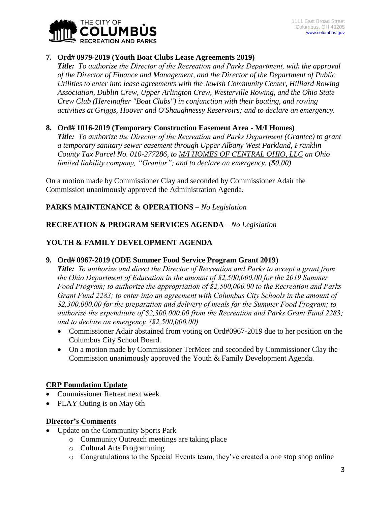

## **7. Ord# 0979-2019 (Youth Boat Clubs Lease Agreements 2019)**

*Title: To authorize the Director of the Recreation and Parks Department, with the approval of the Director of Finance and Management, and the Director of the Department of Public Utilities to enter into lease agreements with the Jewish Community Center, Hilliard Rowing Association, Dublin Crew, Upper Arlington Crew, Westerville Rowing, and the Ohio State Crew Club (Hereinafter "Boat Clubs") in conjunction with their boating, and rowing activities at Griggs, Hoover and O'Shaughnessy Reservoirs; and to declare an emergency.* 

## **8. Ord# 1016-2019 (Temporary Construction Easement Area - M/I Homes)**

*Title: To authorize the Director of the Recreation and Parks Department (Grantee) to grant a temporary sanitary sewer easement through Upper Albany West Parkland, Franklin County Tax Parcel No. 010-277286, to M/I HOMES OF CENTRAL OHIO, LLC an Ohio limited liability company, "Grantor"; and to declare an emergency. (\$0.00)*

On a motion made by Commissioner Clay and seconded by Commissioner Adair the Commission unanimously approved the Administration Agenda.

# **PARKS MAINTENANCE & OPERATIONS** *– No Legislation*

## **RECREATION & PROGRAM SERVICES AGENDA** *– No Legislation*

## **YOUTH & FAMILY DEVELOPMENT AGENDA**

#### **9. Ord# 0967-2019 (ODE Summer Food Service Program Grant 2019)**

*Title: To authorize and direct the Director of Recreation and Parks to accept a grant from the Ohio Department of Education in the amount of \$2,500,000.00 for the 2019 Summer Food Program; to authorize the appropriation of \$2,500,000.00 to the Recreation and Parks Grant Fund 2283; to enter into an agreement with Columbus City Schools in the amount of \$2,300,000.00 for the preparation and delivery of meals for the Summer Food Program; to authorize the expenditure of \$2,300,000.00 from the Recreation and Parks Grant Fund 2283; and to declare an emergency. (\$2,500,000.00)*

- Commissioner Adair abstained from voting on Ord#0967-2019 due to her position on the Columbus City School Board.
- On a motion made by Commissioner TerMeer and seconded by Commissioner Clay the Commission unanimously approved the Youth & Family Development Agenda.

#### **CRP Foundation Update**

- Commissioner Retreat next week
- PLAY Outing is on May 6th

#### **Director's Comments**

- Update on the Community Sports Park
	- o Community Outreach meetings are taking place
		- o Cultural Arts Programming
		- o Congratulations to the Special Events team, they've created a one stop shop online